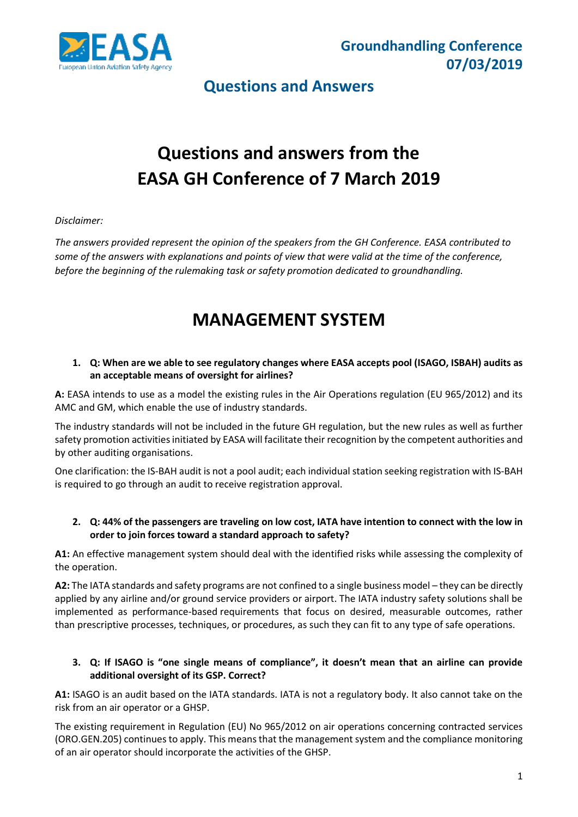

# **Questions and answers from the EASA GH Conference of 7 March 2019**

#### *Disclaimer:*

*The answers provided represent the opinion of the speakers from the GH Conference. EASA contributed to some of the answers with explanations and points of view that were valid at the time of the conference, before the beginning of the rulemaking task or safety promotion dedicated to groundhandling.*

## **MANAGEMENT SYSTEM**

#### **1. Q: When are we able to see regulatory changes where EASA accepts pool (ISAGO, ISBAH) audits as an acceptable means of oversight for airlines?**

**A:** EASA intends to use as a model the existing rules in the Air Operations regulation (EU 965/2012) and its AMC and GM, which enable the use of industry standards.

The industry standards will not be included in the future GH regulation, but the new rules as well as further safety promotion activities initiated by EASA will facilitate their recognition by the competent authorities and by other auditing organisations.

One clarification: the IS-BAH audit is not a pool audit; each individual station seeking registration with IS-BAH is required to go through an audit to receive registration approval.

#### **2. Q: 44% of the passengers are traveling on low cost, IATA have intention to connect with the low in order to join forces toward a standard approach to safety?**

**A1:** An effective management system should deal with the identified risks while assessing the complexity of the operation.

**A2:** The IATA standards and safety programs are not confined to a single business model – they can be directly applied by any airline and/or ground service providers or airport. The IATA industry safety solutions shall be implemented as performance-based requirements that focus on desired, measurable outcomes, rather than prescriptive processes, techniques, or procedures, as such they can fit to any type of safe operations.

#### **3. Q: If ISAGO is "one single means of compliance", it doesn't mean that an airline can provide additional oversight of its GSP. Correct?**

**A1:** ISAGO is an audit based on the IATA standards. IATA is not a regulatory body. It also cannot take on the risk from an air operator or a GHSP.

The existing requirement in Regulation (EU) No 965/2012 on air operations concerning contracted services (ORO.GEN.205) continues to apply. This means that the management system and the compliance monitoring of an air operator should incorporate the activities of the GHSP.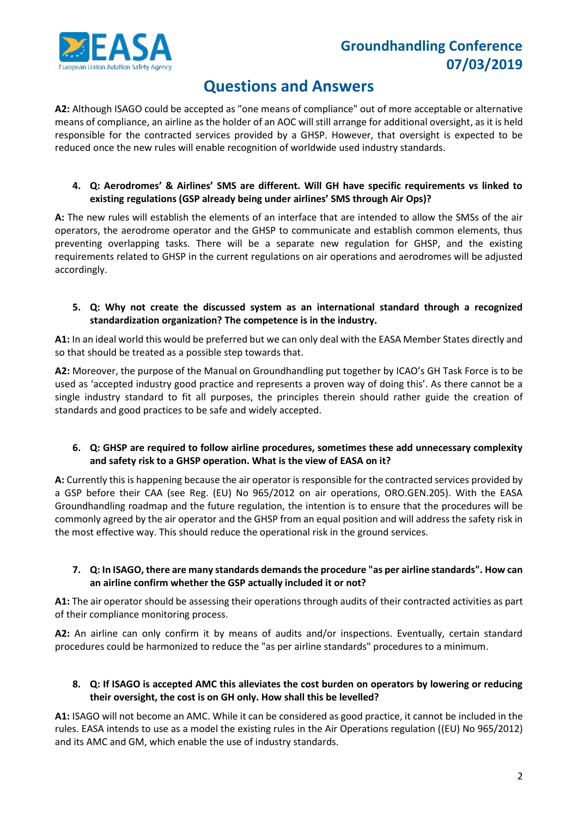

### **Questions and Answers**

**A2:** Although ISAGO could be accepted as "one means of compliance" out of more acceptable or alternative means of compliance, an airline as the holder of an AOC will still arrange for additional oversight, as it is held responsible for the contracted services provided by a GHSP. However, that oversight is expected to be reduced once the new rules will enable recognition of worldwide used industry standards.

#### **4. Q: Aerodromes' & Airlines' SMS are different. Will GH have specific requirements vs linked to existing regulations (GSP already being under airlines' SMS through Air Ops)?**

**A:** The new rules will establish the elements of an interface that are intended to allow the SMSs of the air operators, the aerodrome operator and the GHSP to communicate and establish common elements, thus preventing overlapping tasks. There will be a separate new regulation for GHSP, and the existing requirements related to GHSP in the current regulations on air operations and aerodromes will be adjusted accordingly.

#### **5. Q: Why not create the discussed system as an international standard through a recognized standardization organization? The competence is in the industry.**

**A1:** In an ideal world this would be preferred but we can only deal with the EASA Member States directly and so that should be treated as a possible step towards that.

**A2:** Moreover, the purpose of the Manual on Groundhandling put together by ICAO's GH Task Force is to be used as 'accepted industry good practice and represents a proven way of doing this'. As there cannot be a single industry standard to fit all purposes, the principles therein should rather guide the creation of standards and good practices to be safe and widely accepted.

#### **6. Q: GHSP are required to follow airline procedures, sometimes these add unnecessary complexity and safety risk to a GHSP operation. What is the view of EASA on it?**

**A:** Currently this is happening because the air operator is responsible for the contracted services provided by a GSP before their CAA (see Reg. (EU) No 965/2012 on air operations, ORO.GEN.205). With the EASA Groundhandling roadmap and the future regulation, the intention is to ensure that the procedures will be commonly agreed by the air operator and the GHSP from an equal position and will address the safety risk in the most effective way. This should reduce the operational risk in the ground services.

#### **7. Q: In ISAGO, there are many standards demands the procedure "as per airline standards". How can an airline confirm whether the GSP actually included it or not?**

**A1:** The air operator should be assessing their operations through audits of their contracted activities as part of their compliance monitoring process.

**A2:** An airline can only confirm it by means of audits and/or inspections. Eventually, certain standard procedures could be harmonized to reduce the "as per airline standards" procedures to a minimum.

#### **8. Q: If ISAGO is accepted AMC this alleviates the cost burden on operators by lowering or reducing their oversight, the cost is on GH only. How shall this be levelled?**

**A1:** ISAGO will not become an AMC. While it can be considered as good practice, it cannot be included in the rules. EASA intends to use as a model the existing rules in the Air Operations regulation ((EU) No 965/2012) and its AMC and GM, which enable the use of industry standards.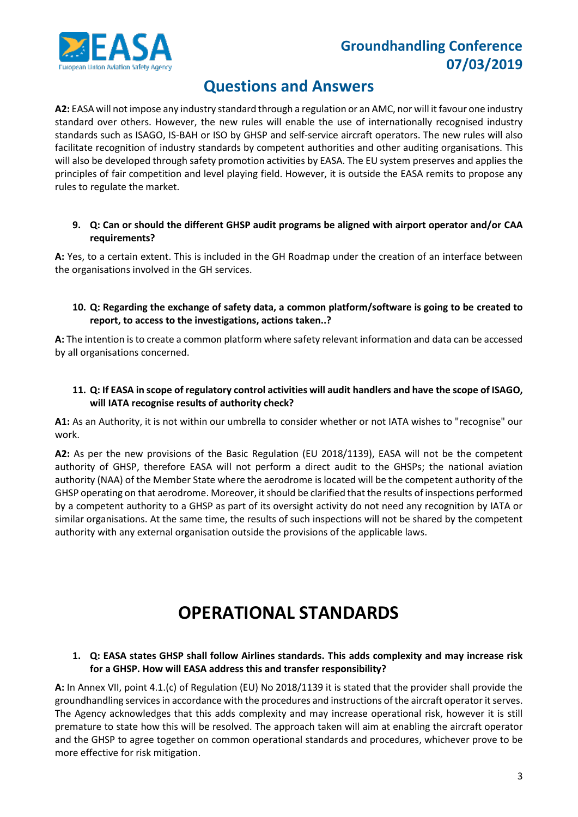

### **Questions and Answers**

**A2:** EASA will not impose any industry standard through a regulation or an AMC, nor will it favour one industry standard over others. However, the new rules will enable the use of internationally recognised industry standards such as ISAGO, IS-BAH or ISO by GHSP and self-service aircraft operators. The new rules will also facilitate recognition of industry standards by competent authorities and other auditing organisations. This will also be developed through safety promotion activities by EASA. The EU system preserves and applies the principles of fair competition and level playing field. However, it is outside the EASA remits to propose any rules to regulate the market.

#### **9. Q: Can or should the different GHSP audit programs be aligned with airport operator and/or CAA requirements?**

**A:** Yes, to a certain extent. This is included in the GH Roadmap under the creation of an interface between the organisations involved in the GH services.

#### **10. Q: Regarding the exchange of safety data, a common platform/software is going to be created to report, to access to the investigations, actions taken..?**

**A:** The intention is to create a common platform where safety relevant information and data can be accessed by all organisations concerned.

#### **11. Q: If EASA in scope of regulatory control activities will audit handlers and have the scope of ISAGO, will IATA recognise results of authority check?**

**A1:** As an Authority, it is not within our umbrella to consider whether or not IATA wishes to "recognise" our work.

**A2:** As per the new provisions of the Basic Regulation (EU 2018/1139), EASA will not be the competent authority of GHSP, therefore EASA will not perform a direct audit to the GHSPs; the national aviation authority (NAA) of the Member State where the aerodrome is located will be the competent authority of the GHSP operating on that aerodrome. Moreover, it should be clarified that the results of inspections performed by a competent authority to a GHSP as part of its oversight activity do not need any recognition by IATA or similar organisations. At the same time, the results of such inspections will not be shared by the competent authority with any external organisation outside the provisions of the applicable laws.

## **OPERATIONAL STANDARDS**

#### **1. Q: EASA states GHSP shall follow Airlines standards. This adds complexity and may increase risk for a GHSP. How will EASA address this and transfer responsibility?**

**A:** In Annex VII, point 4.1.(c) of Regulation (EU) No 2018/1139 it is stated that the provider shall provide the groundhandling services in accordance with the procedures and instructions of the aircraft operator it serves. The Agency acknowledges that this adds complexity and may increase operational risk, however it is still premature to state how this will be resolved. The approach taken will aim at enabling the aircraft operator and the GHSP to agree together on common operational standards and procedures, whichever prove to be more effective for risk mitigation.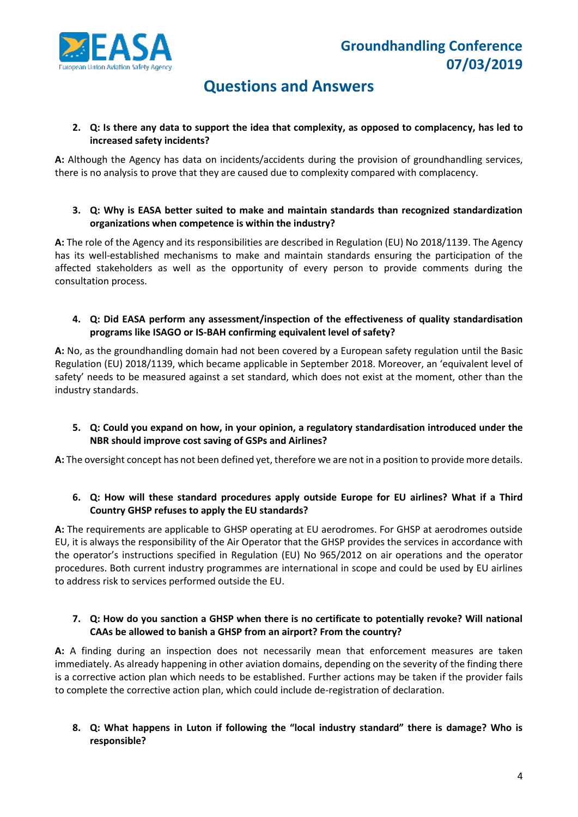



#### **2. Q: Is there any data to support the idea that complexity, as opposed to complacency, has led to increased safety incidents?**

**A:** Although the Agency has data on incidents/accidents during the provision of groundhandling services, there is no analysis to prove that they are caused due to complexity compared with complacency.

#### **3. Q: Why is EASA better suited to make and maintain standards than recognized standardization organizations when competence is within the industry?**

**A:** The role of the Agency and its responsibilities are described in Regulation (EU) No 2018/1139. The Agency has its well-established mechanisms to make and maintain standards ensuring the participation of the affected stakeholders as well as the opportunity of every person to provide comments during the consultation process.

#### **4. Q: Did EASA perform any assessment/inspection of the effectiveness of quality standardisation programs like ISAGO or IS-BAH confirming equivalent level of safety?**

**A:** No, as the groundhandling domain had not been covered by a European safety regulation until the Basic Regulation (EU) 2018/1139, which became applicable in September 2018. Moreover, an 'equivalent level of safety' needs to be measured against a set standard, which does not exist at the moment, other than the industry standards.

#### **5. Q: Could you expand on how, in your opinion, a regulatory standardisation introduced under the NBR should improve cost saving of GSPs and Airlines?**

**A:** The oversight concept has not been defined yet, therefore we are not in a position to provide more details.

#### **6. Q: How will these standard procedures apply outside Europe for EU airlines? What if a Third Country GHSP refuses to apply the EU standards?**

**A:** The requirements are applicable to GHSP operating at EU aerodromes. For GHSP at aerodromes outside EU, it is always the responsibility of the Air Operator that the GHSP provides the services in accordance with the operator's instructions specified in Regulation (EU) No 965/2012 on air operations and the operator procedures. Both current industry programmes are international in scope and could be used by EU airlines to address risk to services performed outside the EU.

#### **7. Q: How do you sanction a GHSP when there is no certificate to potentially revoke? Will national CAAs be allowed to banish a GHSP from an airport? From the country?**

**A:** A finding during an inspection does not necessarily mean that enforcement measures are taken immediately. As already happening in other aviation domains, depending on the severity of the finding there is a corrective action plan which needs to be established. Further actions may be taken if the provider fails to complete the corrective action plan, which could include de-registration of declaration.

#### **8. Q: What happens in Luton if following the "local industry standard" there is damage? Who is responsible?**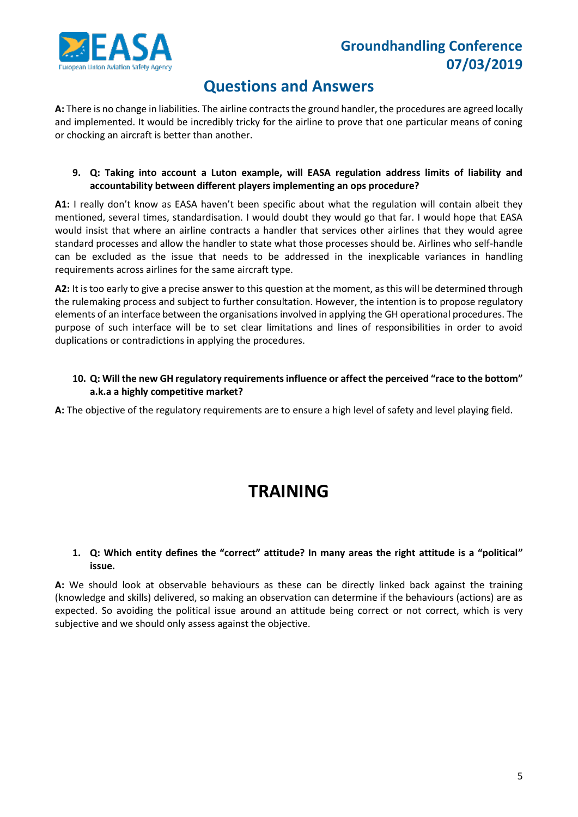

### **Questions and Answers**

**A:** There is no change in liabilities. The airline contracts the ground handler, the procedures are agreed locally and implemented. It would be incredibly tricky for the airline to prove that one particular means of coning or chocking an aircraft is better than another.

#### **9. Q: Taking into account a Luton example, will EASA regulation address limits of liability and accountability between different players implementing an ops procedure?**

A1: I really don't know as EASA haven't been specific about what the regulation will contain albeit they mentioned, several times, standardisation. I would doubt they would go that far. I would hope that EASA would insist that where an airline contracts a handler that services other airlines that they would agree standard processes and allow the handler to state what those processes should be. Airlines who self-handle can be excluded as the issue that needs to be addressed in the inexplicable variances in handling requirements across airlines for the same aircraft type.

**A2:** It is too early to give a precise answer to this question at the moment, as this will be determined through the rulemaking process and subject to further consultation. However, the intention is to propose regulatory elements of an interface between the organisations involved in applying the GH operational procedures. The purpose of such interface will be to set clear limitations and lines of responsibilities in order to avoid duplications or contradictions in applying the procedures.

#### **10. Q: Will the new GH regulatory requirements influence or affect the perceived "race to the bottom" a.k.a a highly competitive market?**

**A:** The objective of the regulatory requirements are to ensure a high level of safety and level playing field.

## **TRAINING**

#### **1. Q: Which entity defines the "correct" attitude? In many areas the right attitude is a "political" issue.**

**A:** We should look at observable behaviours as these can be directly linked back against the training (knowledge and skills) delivered, so making an observation can determine if the behaviours (actions) are as expected. So avoiding the political issue around an attitude being correct or not correct, which is very subjective and we should only assess against the objective.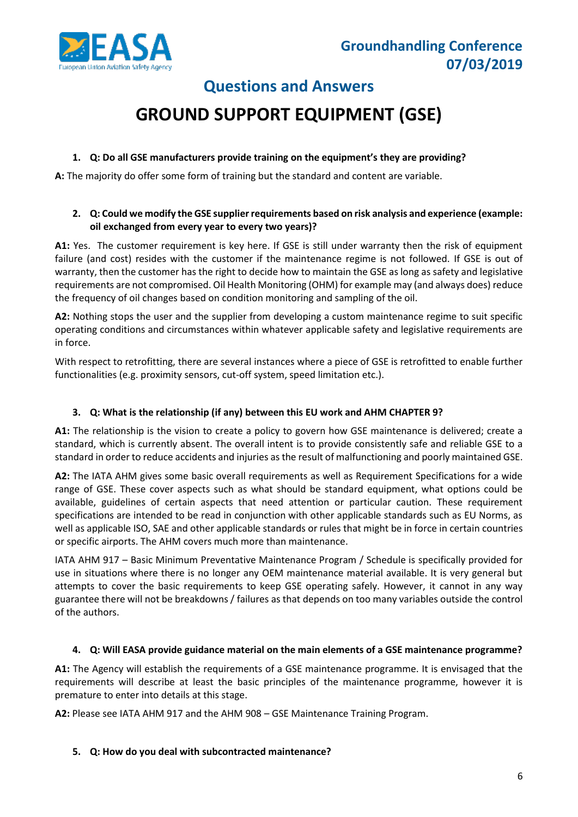

# **GROUND SUPPORT EQUIPMENT (GSE)**

#### **1. Q: Do all GSE manufacturers provide training on the equipment's they are providing?**

**A:** The majority do offer some form of training but the standard and content are variable.

#### **2. Q: Could we modify the GSE supplier requirements based on risk analysis and experience (example: oil exchanged from every year to every two years)?**

**A1:** Yes. The customer requirement is key here. If GSE is still under warranty then the risk of equipment failure (and cost) resides with the customer if the maintenance regime is not followed. If GSE is out of warranty, then the customer has the right to decide how to maintain the GSE as long as safety and legislative requirements are not compromised. Oil Health Monitoring (OHM) for example may (and always does) reduce the frequency of oil changes based on condition monitoring and sampling of the oil.

**A2:** Nothing stops the user and the supplier from developing a custom maintenance regime to suit specific operating conditions and circumstances within whatever applicable safety and legislative requirements are in force.

With respect to retrofitting, there are several instances where a piece of GSE is retrofitted to enable further functionalities (e.g. proximity sensors, cut-off system, speed limitation etc.).

#### **3. Q: What is the relationship (if any) between this EU work and AHM CHAPTER 9?**

**A1:** The relationship is the vision to create a policy to govern how GSE maintenance is delivered; create a standard, which is currently absent. The overall intent is to provide consistently safe and reliable GSE to a standard in order to reduce accidents and injuries as the result of malfunctioning and poorly maintained GSE.

**A2:** The IATA AHM gives some basic overall requirements as well as Requirement Specifications for a wide range of GSE. These cover aspects such as what should be standard equipment, what options could be available, guidelines of certain aspects that need attention or particular caution. These requirement specifications are intended to be read in conjunction with other applicable standards such as EU Norms, as well as applicable ISO, SAE and other applicable standards or rules that might be in force in certain countries or specific airports. The AHM covers much more than maintenance.

IATA AHM 917 – Basic Minimum Preventative Maintenance Program / Schedule is specifically provided for use in situations where there is no longer any OEM maintenance material available. It is very general but attempts to cover the basic requirements to keep GSE operating safely. However, it cannot in any way guarantee there will not be breakdowns / failures as that depends on too many variables outside the control of the authors.

#### **4. Q: Will EASA provide guidance material on the main elements of a GSE maintenance programme?**

**A1:** The Agency will establish the requirements of a GSE maintenance programme. It is envisaged that the requirements will describe at least the basic principles of the maintenance programme, however it is premature to enter into details at this stage.

**A2:** Please see IATA AHM 917 and the AHM 908 – GSE Maintenance Training Program.

#### **5. Q: How do you deal with subcontracted maintenance?**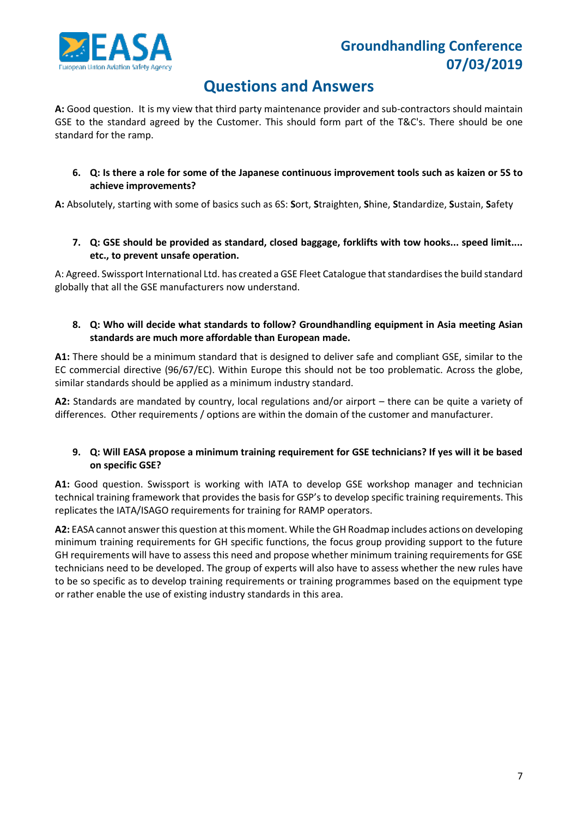

### **Questions and Answers**

**A:** Good question. It is my view that third party maintenance provider and sub-contractors should maintain GSE to the standard agreed by the Customer. This should form part of the T&C's. There should be one standard for the ramp.

**6. Q: Is there a role for some of the Japanese continuous improvement tools such as kaizen or 5S to achieve improvements?**

**A:** Absolutely, starting with some of basics such as 6S: **S**ort, **S**traighten, **S**hine, **S**tandardize, **S**ustain, **S**afety

**7. Q: GSE should be provided as standard, closed baggage, forklifts with tow hooks... speed limit.... etc., to prevent unsafe operation.**

A: Agreed. Swissport International Ltd. has created a GSE Fleet Catalogue that standardises the build standard globally that all the GSE manufacturers now understand.

#### **8. Q: Who will decide what standards to follow? Groundhandling equipment in Asia meeting Asian standards are much more affordable than European made.**

**A1:** There should be a minimum standard that is designed to deliver safe and compliant GSE, similar to the EC commercial directive (96/67/EC). Within Europe this should not be too problematic. Across the globe, similar standards should be applied as a minimum industry standard.

**A2:** Standards are mandated by country, local regulations and/or airport – there can be quite a variety of differences. Other requirements / options are within the domain of the customer and manufacturer.

#### **9. Q: Will EASA propose a minimum training requirement for GSE technicians? If yes will it be based on specific GSE?**

**A1:** Good question. Swissport is working with IATA to develop GSE workshop manager and technician technical training framework that provides the basis for GSP's to develop specific training requirements. This replicates the IATA/ISAGO requirements for training for RAMP operators.

**A2:** EASA cannot answer this question at this moment. While the GH Roadmap includes actions on developing minimum training requirements for GH specific functions, the focus group providing support to the future GH requirements will have to assess this need and propose whether minimum training requirements for GSE technicians need to be developed. The group of experts will also have to assess whether the new rules have to be so specific as to develop training requirements or training programmes based on the equipment type or rather enable the use of existing industry standards in this area.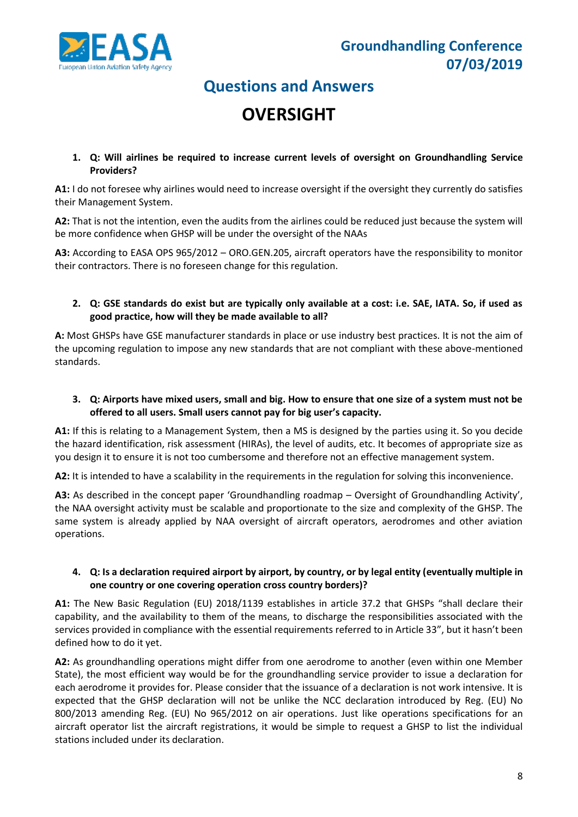

## **OVERSIGHT**

**1. Q: Will airlines be required to increase current levels of oversight on Groundhandling Service Providers?**

**A1:** I do not foresee why airlines would need to increase oversight if the oversight they currently do satisfies their Management System.

**A2:** That is not the intention, even the audits from the airlines could be reduced just because the system will be more confidence when GHSP will be under the oversight of the NAAs

**A3:** According to EASA OPS 965/2012 – ORO.GEN.205, aircraft operators have the responsibility to monitor their contractors. There is no foreseen change for this regulation.

#### **2. Q: GSE standards do exist but are typically only available at a cost: i.e. SAE, IATA. So, if used as good practice, how will they be made available to all?**

**A:** Most GHSPs have GSE manufacturer standards in place or use industry best practices. It is not the aim of the upcoming regulation to impose any new standards that are not compliant with these above-mentioned standards.

#### **3. Q: Airports have mixed users, small and big. How to ensure that one size of a system must not be offered to all users. Small users cannot pay for big user's capacity.**

**A1:** If this is relating to a Management System, then a MS is designed by the parties using it. So you decide the hazard identification, risk assessment (HIRAs), the level of audits, etc. It becomes of appropriate size as you design it to ensure it is not too cumbersome and therefore not an effective management system.

**A2:** It is intended to have a scalability in the requirements in the regulation for solving this inconvenience.

**A3:** As described in the concept paper 'Groundhandling roadmap – Oversight of Groundhandling Activity', the NAA oversight activity must be scalable and proportionate to the size and complexity of the GHSP. The same system is already applied by NAA oversight of aircraft operators, aerodromes and other aviation operations.

#### **4. Q: Is a declaration required airport by airport, by country, or by legal entity (eventually multiple in one country or one covering operation cross country borders)?**

**A1:** The New Basic Regulation (EU) 2018/1139 establishes in article 37.2 that GHSPs "shall declare their capability, and the availability to them of the means, to discharge the responsibilities associated with the services provided in compliance with the essential requirements referred to in Article 33", but it hasn't been defined how to do it yet.

**A2:** As groundhandling operations might differ from one aerodrome to another (even within one Member State), the most efficient way would be for the groundhandling service provider to issue a declaration for each aerodrome it provides for. Please consider that the issuance of a declaration is not work intensive. It is expected that the GHSP declaration will not be unlike the NCC declaration introduced by Reg. (EU) No 800/2013 amending Reg. (EU) No 965/2012 on air operations. Just like operations specifications for an aircraft operator list the aircraft registrations, it would be simple to request a GHSP to list the individual stations included under its declaration.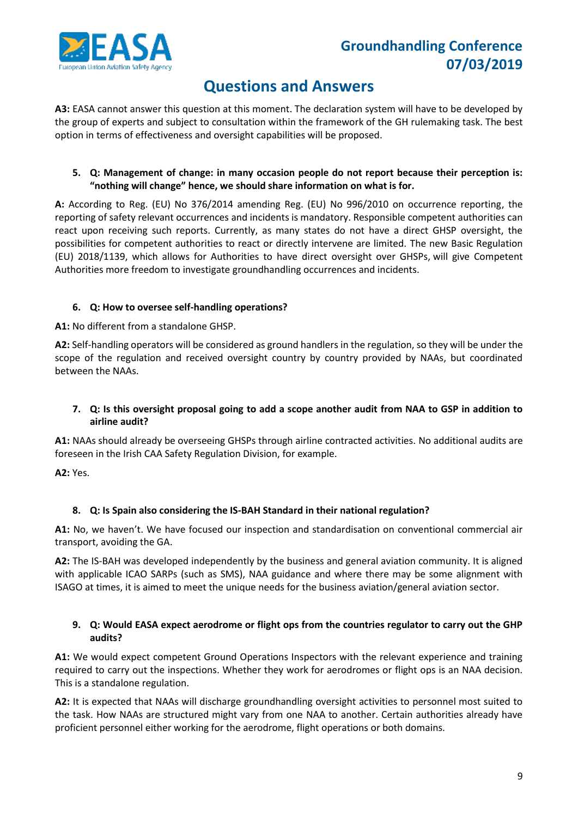

### **Questions and Answers**

**A3:** EASA cannot answer this question at this moment. The declaration system will have to be developed by the group of experts and subject to consultation within the framework of the GH rulemaking task. The best option in terms of effectiveness and oversight capabilities will be proposed.

#### **5. Q: Management of change: in many occasion people do not report because their perception is: "nothing will change" hence, we should share information on what is for.**

**A:** According to Reg. (EU) No 376/2014 amending Reg. (EU) No 996/2010 on occurrence reporting, the reporting of safety relevant occurrences and incidents is mandatory. Responsible competent authorities can react upon receiving such reports. Currently, as many states do not have a direct GHSP oversight, the possibilities for competent authorities to react or directly intervene are limited. The new Basic Regulation (EU) 2018/1139, which allows for Authorities to have direct oversight over GHSPs, will give Competent Authorities more freedom to investigate groundhandling occurrences and incidents.

#### **6. Q: How to oversee self-handling operations?**

**A1:** No different from a standalone GHSP.

**A2:** Self-handling operators will be considered as ground handlers in the regulation, so they will be under the scope of the regulation and received oversight country by country provided by NAAs, but coordinated between the NAAs.

#### **7. Q: Is this oversight proposal going to add a scope another audit from NAA to GSP in addition to airline audit?**

**A1:** NAAs should already be overseeing GHSPs through airline contracted activities. No additional audits are foreseen in the Irish CAA Safety Regulation Division, for example.

**A2:** Yes.

#### **8. Q: Is Spain also considering the IS-BAH Standard in their national regulation?**

**A1:** No, we haven't. We have focused our inspection and standardisation on conventional commercial air transport, avoiding the GA.

**A2:** The IS-BAH was developed independently by the business and general aviation community. It is aligned with applicable ICAO SARPs (such as SMS), NAA guidance and where there may be some alignment with ISAGO at times, it is aimed to meet the unique needs for the business aviation/general aviation sector.

#### **9. Q: Would EASA expect aerodrome or flight ops from the countries regulator to carry out the GHP audits?**

**A1:** We would expect competent Ground Operations Inspectors with the relevant experience and training required to carry out the inspections. Whether they work for aerodromes or flight ops is an NAA decision. This is a standalone regulation.

**A2:** It is expected that NAAs will discharge groundhandling oversight activities to personnel most suited to the task. How NAAs are structured might vary from one NAA to another. Certain authorities already have proficient personnel either working for the aerodrome, flight operations or both domains.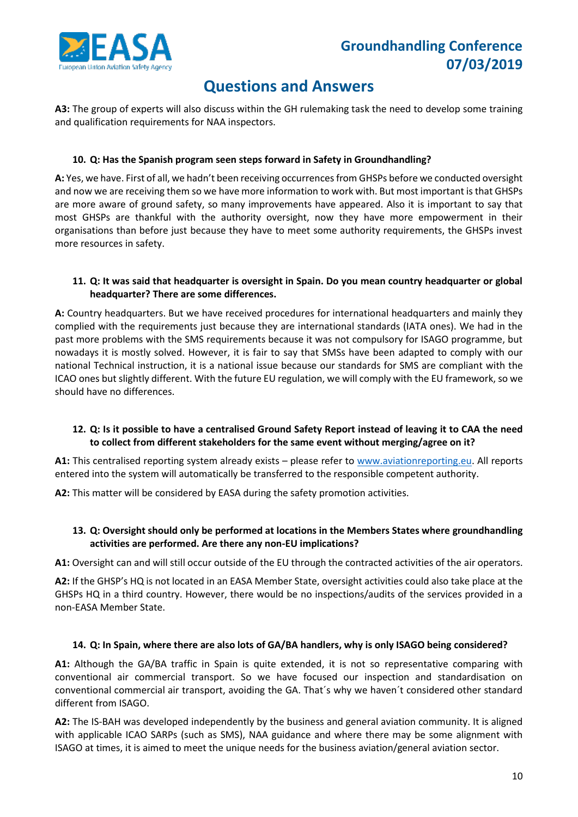

**A3:** The group of experts will also discuss within the GH rulemaking task the need to develop some training and qualification requirements for NAA inspectors.

#### **10. Q: Has the Spanish program seen steps forward in Safety in Groundhandling?**

**A:** Yes, we have. First of all, we hadn't been receiving occurrences from GHSPs before we conducted oversight and now we are receiving them so we have more information to work with. But most important is that GHSPs are more aware of ground safety, so many improvements have appeared. Also it is important to say that most GHSPs are thankful with the authority oversight, now they have more empowerment in their organisations than before just because they have to meet some authority requirements, the GHSPs invest more resources in safety.

#### **11. Q: It was said that headquarter is oversight in Spain. Do you mean country headquarter or global headquarter? There are some differences.**

**A:** Country headquarters. But we have received procedures for international headquarters and mainly they complied with the requirements just because they are international standards (IATA ones). We had in the past more problems with the SMS requirements because it was not compulsory for ISAGO programme, but nowadays it is mostly solved. However, it is fair to say that SMSs have been adapted to comply with our national Technical instruction, it is a national issue because our standards for SMS are compliant with the ICAO ones but slightly different. With the future EU regulation, we will comply with the EU framework, so we should have no differences.

#### **12. Q: Is it possible to have a centralised Ground Safety Report instead of leaving it to CAA the need to collect from different stakeholders for the same event without merging/agree on it?**

**A1:** This centralised reporting system already exists – please refer to [www.aviationreporting.eu.](http://www.aviationreporting.eu/) All reports entered into the system will automatically be transferred to the responsible competent authority.

**A2:** This matter will be considered by EASA during the safety promotion activities.

#### **13. Q: Oversight should only be performed at locations in the Members States where groundhandling activities are performed. Are there any non-EU implications?**

**A1:** Oversight can and will still occur outside of the EU through the contracted activities of the air operators.

**A2:** If the GHSP's HQ is not located in an EASA Member State, oversight activities could also take place at the GHSPs HQ in a third country. However, there would be no inspections/audits of the services provided in a non-EASA Member State.

#### **14. Q: In Spain, where there are also lots of GA/BA handlers, why is only ISAGO being considered?**

**A1:** Although the GA/BA traffic in Spain is quite extended, it is not so representative comparing with conventional air commercial transport. So we have focused our inspection and standardisation on conventional commercial air transport, avoiding the GA. That´s why we haven´t considered other standard different from ISAGO.

**A2:** The IS-BAH was developed independently by the business and general aviation community. It is aligned with applicable ICAO SARPs (such as SMS), NAA guidance and where there may be some alignment with ISAGO at times, it is aimed to meet the unique needs for the business aviation/general aviation sector.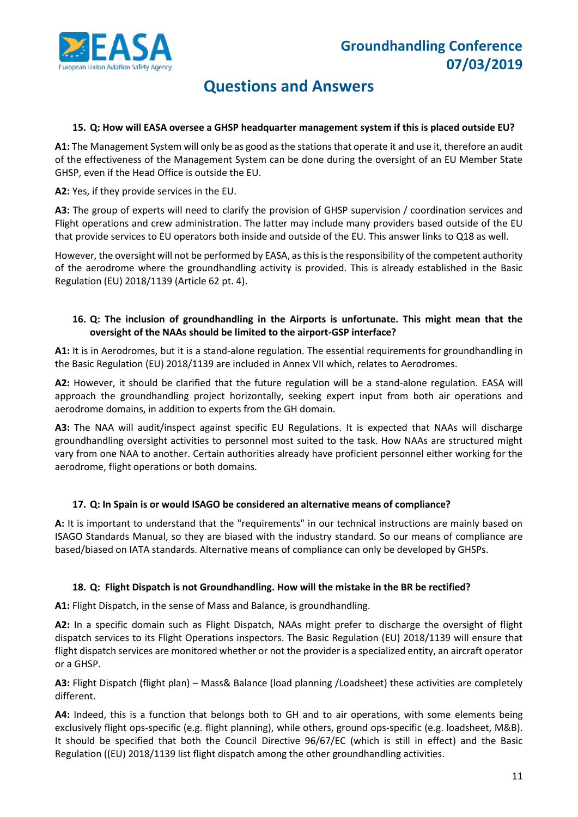

#### **15. Q: How will EASA oversee a GHSP headquarter management system if this is placed outside EU?**

**A1:** The Management System will only be as good as the stations that operate it and use it, therefore an audit of the effectiveness of the Management System can be done during the oversight of an EU Member State GHSP, even if the Head Office is outside the EU.

**A2:** Yes, if they provide services in the EU.

**A3:** The group of experts will need to clarify the provision of GHSP supervision / coordination services and Flight operations and crew administration. The latter may include many providers based outside of the EU that provide services to EU operators both inside and outside of the EU. This answer links to Q18 as well.

However, the oversight will not be performed by EASA, as this is the responsibility of the competent authority of the aerodrome where the groundhandling activity is provided. This is already established in the Basic Regulation (EU) 2018/1139 (Article 62 pt. 4).

#### **16. Q: The inclusion of groundhandling in the Airports is unfortunate. This might mean that the oversight of the NAAs should be limited to the airport-GSP interface?**

**A1:** It is in Aerodromes, but it is a stand-alone regulation. The essential requirements for groundhandling in the Basic Regulation (EU) 2018/1139 are included in Annex VII which, relates to Aerodromes.

**A2:** However, it should be clarified that the future regulation will be a stand-alone regulation. EASA will approach the groundhandling project horizontally, seeking expert input from both air operations and aerodrome domains, in addition to experts from the GH domain.

**A3:** The NAA will audit/inspect against specific EU Regulations. It is expected that NAAs will discharge groundhandling oversight activities to personnel most suited to the task. How NAAs are structured might vary from one NAA to another. Certain authorities already have proficient personnel either working for the aerodrome, flight operations or both domains.

#### **17. Q: In Spain is or would ISAGO be considered an alternative means of compliance?**

**A:** It is important to understand that the "requirements" in our technical instructions are mainly based on ISAGO Standards Manual, so they are biased with the industry standard. So our means of compliance are based/biased on IATA standards. Alternative means of compliance can only be developed by GHSPs.

#### **18. Q: Flight Dispatch is not Groundhandling. How will the mistake in the BR be rectified?**

**A1:** Flight Dispatch, in the sense of Mass and Balance, is groundhandling.

**A2:** In a specific domain such as Flight Dispatch, NAAs might prefer to discharge the oversight of flight dispatch services to its Flight Operations inspectors. The Basic Regulation (EU) 2018/1139 will ensure that flight dispatch services are monitored whether or not the provider is a specialized entity, an aircraft operator or a GHSP.

**A3:** Flight Dispatch (flight plan) – Mass& Balance (load planning /Loadsheet) these activities are completely different.

**A4:** Indeed, this is a function that belongs both to GH and to air operations, with some elements being exclusively flight ops-specific (e.g. flight planning), while others, ground ops-specific (e.g. loadsheet, M&B). It should be specified that both the Council Directive 96/67/EC (which is still in effect) and the Basic Regulation ((EU) 2018/1139 list flight dispatch among the other groundhandling activities.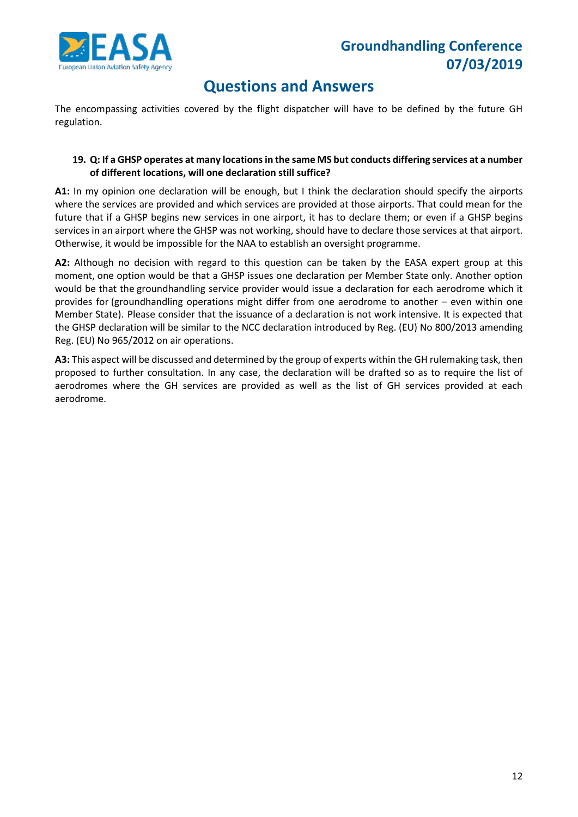

The encompassing activities covered by the flight dispatcher will have to be defined by the future GH regulation.

#### **19. Q: If a GHSP operates at many locations in the same MS but conducts differing services at a number of different locations, will one declaration still suffice?**

**A1:** In my opinion one declaration will be enough, but I think the declaration should specify the airports where the services are provided and which services are provided at those airports. That could mean for the future that if a GHSP begins new services in one airport, it has to declare them; or even if a GHSP begins services in an airport where the GHSP was not working, should have to declare those services at that airport. Otherwise, it would be impossible for the NAA to establish an oversight programme.

**A2:** Although no decision with regard to this question can be taken by the EASA expert group at this moment, one option would be that a GHSP issues one declaration per Member State only. Another option would be that the groundhandling service provider would issue a declaration for each aerodrome which it provides for (groundhandling operations might differ from one aerodrome to another – even within one Member State). Please consider that the issuance of a declaration is not work intensive. It is expected that the GHSP declaration will be similar to the NCC declaration introduced by Reg. (EU) No 800/2013 amending Reg. (EU) No 965/2012 on air operations.

**A3:** This aspect will be discussed and determined by the group of experts within the GH rulemaking task, then proposed to further consultation. In any case, the declaration will be drafted so as to require the list of aerodromes where the GH services are provided as well as the list of GH services provided at each aerodrome.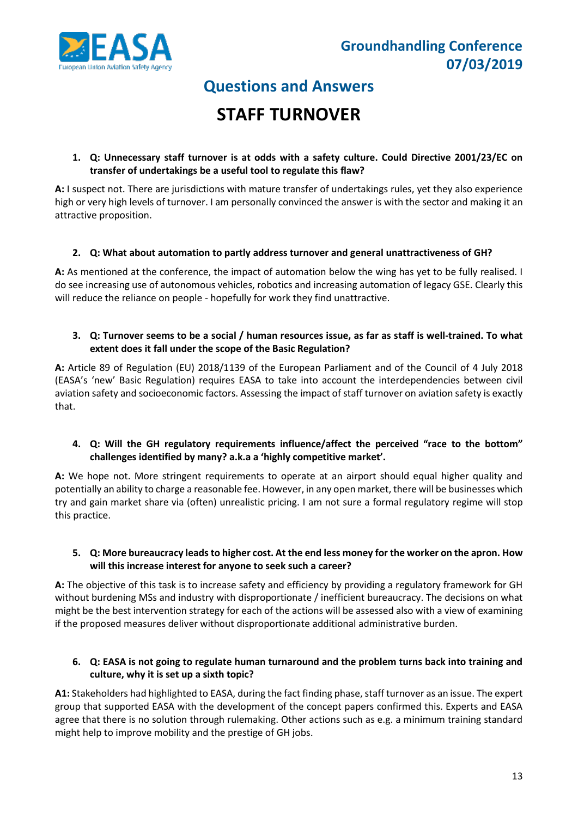

# **STAFF TURNOVER**

#### **1. Q: Unnecessary staff turnover is at odds with a safety culture. Could Directive 2001/23/EC on transfer of undertakings be a useful tool to regulate this flaw?**

**A:** I suspect not. There are jurisdictions with mature transfer of undertakings rules, yet they also experience high or very high levels of turnover. I am personally convinced the answer is with the sector and making it an attractive proposition.

#### **2. Q: What about automation to partly address turnover and general unattractiveness of GH?**

**A:** As mentioned at the conference, the impact of automation below the wing has yet to be fully realised. I do see increasing use of autonomous vehicles, robotics and increasing automation of legacy GSE. Clearly this will reduce the reliance on people - hopefully for work they find unattractive.

#### **3. Q: Turnover seems to be a social / human resources issue, as far as staff is well-trained. To what extent does it fall under the scope of the Basic Regulation?**

**A:** Article 89 of Regulation (EU) 2018/1139 of the European Parliament and of the Council of 4 July 2018 (EASA's 'new' Basic Regulation) requires EASA to take into account the interdependencies between civil aviation safety and socioeconomic factors. Assessing the impact of staff turnover on aviation safety is exactly that.

#### **4. Q: Will the GH regulatory requirements influence/affect the perceived "race to the bottom" challenges identified by many? a.k.a a 'highly competitive market'.**

**A:** We hope not. More stringent requirements to operate at an airport should equal higher quality and potentially an ability to charge a reasonable fee. However, in any open market, there will be businesses which try and gain market share via (often) unrealistic pricing. I am not sure a formal regulatory regime will stop this practice.

#### **5. Q: More bureaucracy leads to higher cost. At the end less money for the worker on the apron. How will this increase interest for anyone to seek such a career?**

**A:** The objective of this task is to increase safety and efficiency by providing a regulatory framework for GH without burdening MSs and industry with disproportionate / inefficient bureaucracy. The decisions on what might be the best intervention strategy for each of the actions will be assessed also with a view of examining if the proposed measures deliver without disproportionate additional administrative burden.

#### **6. Q: EASA is not going to regulate human turnaround and the problem turns back into training and culture, why it is set up a sixth topic?**

A1: Stakeholders had highlighted to EASA, during the fact finding phase, staff turnover as an issue. The expert group that supported EASA with the development of the concept papers confirmed this. Experts and EASA agree that there is no solution through rulemaking. Other actions such as e.g. a minimum training standard might help to improve mobility and the prestige of GH jobs.